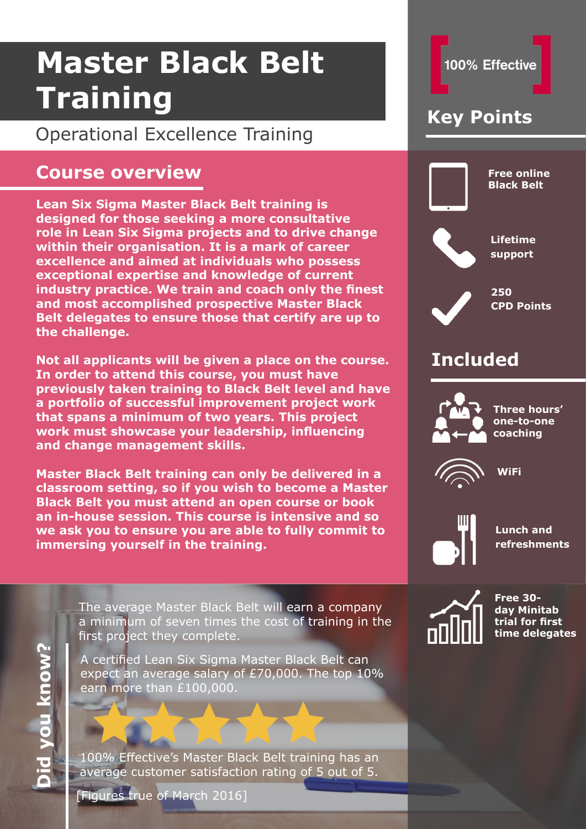## Operational Excellence Training

### **Course overview**

**Lean Six Sigma Master Black Belt training is designed for those seeking a more consultative role in Lean Six Sigma projects and to drive change within their organisation. It is a mark of career excellence and aimed at individuals who possess exceptional expertise and knowledge of current industry practice. We train and coach only the finest and most accomplished prospective Master Black Belt delegates to ensure those that certify are up to the challenge.** 

**Not all applicants will be given a place on the course. In order to attend this course, you must have previously taken training to Black Belt level and have a portfolio of successful improvement project work that spans a minimum of two years. This project work must showcase your leadership, influencing and change management skills.**

**Master Black Belt training can only be delivered in a classroom setting, so if you wish to become a Master Black Belt you must attend an open course or book an in-house session. This course is intensive and so we ask you to ensure you are able to fully commit to immersing yourself in the training.** 

> The average Master Black Belt will earn a company a minimum of seven times the cost of training in the first project they complete.

A certified Lean Six Sigma Master Black Belt can expect an average salary of £70,000. The top 10% earn more than £100,000.

100% Effective's Master Black Belt training has an average customer satisfaction rating of 5 out of 5.

[Figures true of March 2016]



## **Key Points**

**Free online Black Belt**

**Lifetime support** 

> **250 CPD Points**

## **Included**



**Three hours' one-to-one coaching** 



**WiFi** 



**Lunch and refreshments** 



**Free 30 day Minitab trial for first time delegates**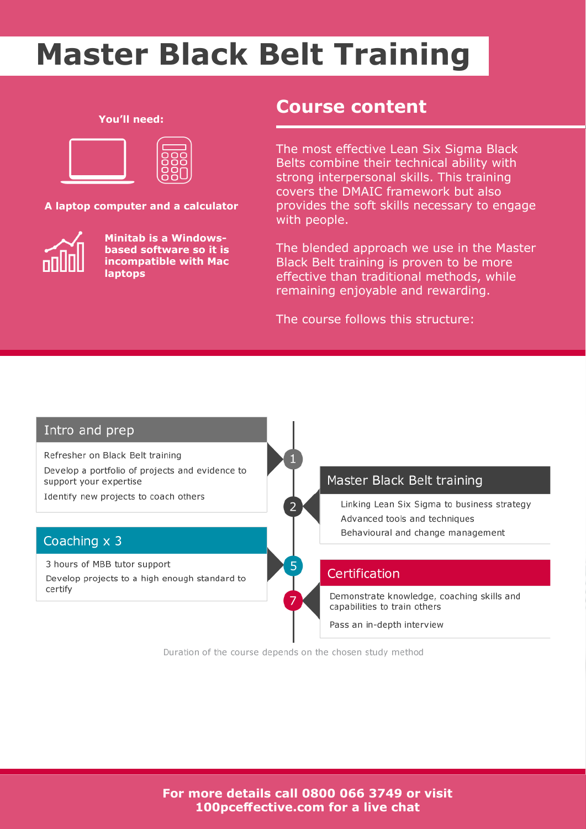#### **You'll need:**



**A laptop computer and a calculator**



**Minitab is a Windowsbased software so it is incompatible with Mac laptops**

### **Course content**

The most effective Lean Six Sigma Black Belts combine their technical ability with strong interpersonal skills. This training covers the DMAIC framework but also provides the soft skills necessary to engage with people.

The blended approach we use in the Master Black Belt training is proven to be more effective than traditional methods, while remaining enjoyable and rewarding.

The course follows this structure:



Duration of the course depends on the chosen study method

**For more details call 0800 066 3749 or visit 100pceffective.com for a live chat**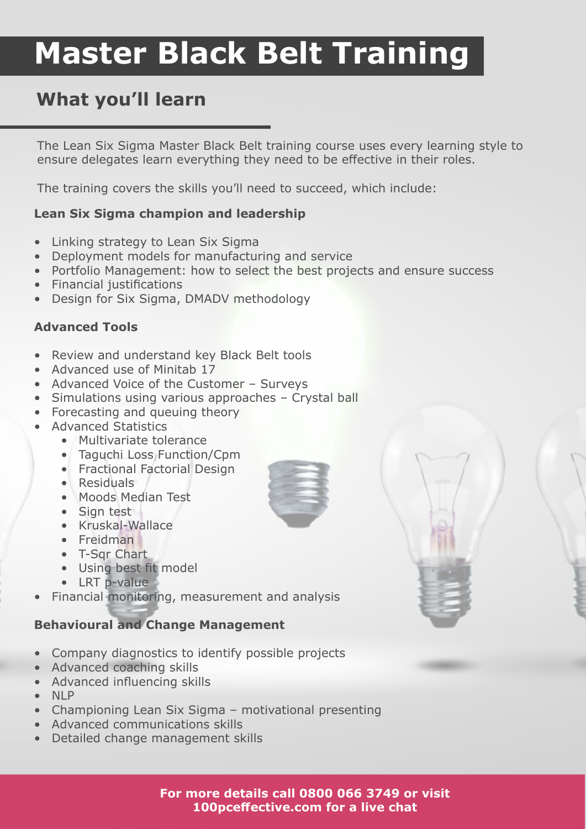## **What you'll learn**

The Lean Six Sigma Master Black Belt training course uses every learning style to ensure delegates learn everything they need to be effective in their roles.

The training covers the skills you'll need to succeed, which include:

#### **Lean Six Sigma champion and leadership**

- Linking strategy to Lean Six Sigma
- Deployment models for manufacturing and service
- Portfolio Management: how to select the best projects and ensure success
- Financial justifications
- Design for Six Sigma, DMADV methodology

### **Advanced Tools**

- Review and understand key Black Belt tools
- Advanced use of Minitab 17
- Advanced Voice of the Customer Surveys
- Simulations using various approaches Crystal ball
- Forecasting and queuing theory
- Advanced Statistics
	- Multivariate tolerance
	- Taguchi Loss Function/Cpm
	- Fractional Factorial Design
	- Residuals
	- Moods Median Test
	- Sign test
	- Kruskal-Wallace
	- Freidman
	- T-Sqr Chart
	- Using best fit model
	- LRT p-value
- Financial monitoring, measurement and analysis

### **Behavioural and Change Management**

- Company diagnostics to identify possible projects
- Advanced coaching skills
- Advanced influencing skills
- NLP
- Championing Lean Six Sigma motivational presenting
- Advanced communications skills
- Detailed change management skills



**For more details call 0800 066 3749 or visit 100pceffective.com for a live chat**